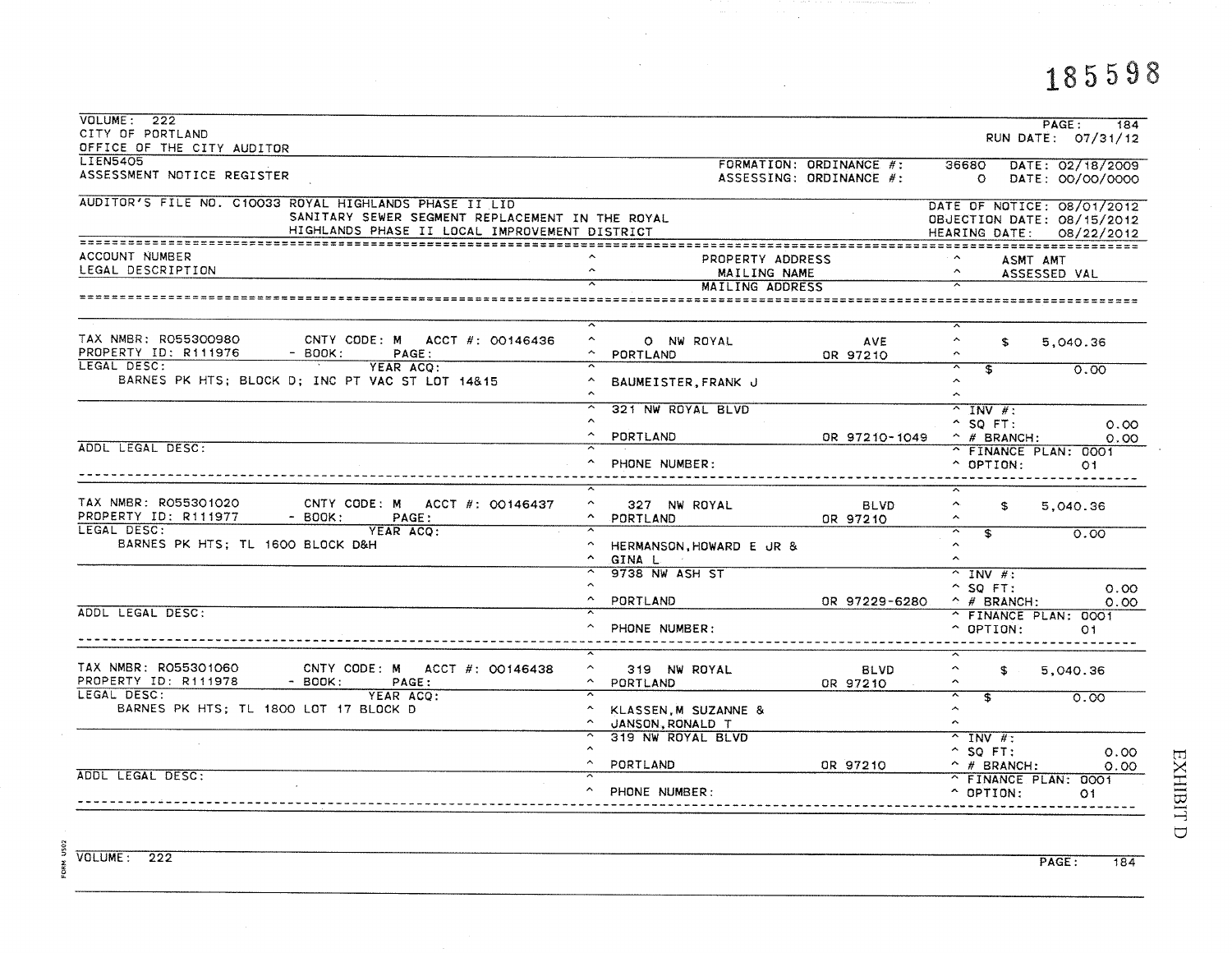185598

| VOLUME: 222<br>CITY OF PORTLAND                                                                                                                            |                                                                           |                                                    |                                                              | PAGE:<br>184<br>RUN DATE: 07/31/12                                                   |
|------------------------------------------------------------------------------------------------------------------------------------------------------------|---------------------------------------------------------------------------|----------------------------------------------------|--------------------------------------------------------------|--------------------------------------------------------------------------------------|
| OFFICE OF THE CITY AUDITOR                                                                                                                                 |                                                                           |                                                    |                                                              |                                                                                      |
| <b>LIEN5405</b><br>ASSESSMENT NOTICE REGISTER                                                                                                              |                                                                           | FORMATION: ORDINANCE #:<br>ASSESSING: ORDINANCE #: | 36680<br>$\circ$                                             | DATE: 02/18/2009<br>DATE: 00/00/0000                                                 |
| AUDITOR'S FILE NO. C10033 ROYAL HIGHLANDS PHASE II LID<br>SANITARY SEWER SEGMENT REPLACEMENT IN THE ROYAL<br>HIGHLANDS PHASE II LOCAL IMPROVEMENT DISTRICT |                                                                           |                                                    |                                                              | DATE OF NOTICE: 08/01/2012<br>OBJECTION DATE: 08/15/2012<br>HEARING DATE: 08/22/2012 |
| ACCOUNT NUMBER<br>LEGAL DESCRIPTION                                                                                                                        | PROPERTY ADDRESS<br>$\sim$<br>MAILING NAME                                |                                                    | ASMT AMT<br>$\hat{~}$                                        | ASSESSED VAL                                                                         |
|                                                                                                                                                            | MAILING ADDRESS<br>==========================                             |                                                    | ========================                                     |                                                                                      |
| TAX NMBR: RO55300980<br>CNTY CODE: M ACCT #: 00146436<br>PROPERTY ID: R111976<br>$-$ BOOK:<br>PAGE:                                                        | ≂<br>$\hat{\phantom{a}}$<br>O NW ROYAL<br>$\hat{\phantom{a}}$<br>PORTLAND | <b>AVE</b><br>OR 97210                             | $\sim$<br>$\hat{\phantom{a}}$<br>\$<br>$\hat{\phantom{a}}$   | 5.040.36                                                                             |
| LEGAL DESC:<br>YEAR ACO:<br>BARNES PK HTS; BLOCK D; INC PT VAC ST LOT 14&15                                                                                | BAUMEISTER, FRANK J                                                       |                                                    | $\mathbf{f}$<br>$\sim$<br>$\hat{\phantom{a}}$                | 0.00                                                                                 |
|                                                                                                                                                            | 321 NW ROYAL BLVD<br>PORTLAND                                             | OR 97210-1049                                      | $^{\sim}$ INV #:<br>$^{\circ}$ SQ FT:<br>$\hat{p}$ # BRANCH: | 0.00<br>0.00                                                                         |
| ADDL LEGAL DESC:                                                                                                                                           | PHONE NUMBER:                                                             |                                                    | ^ FINANCE PLAN: 0001<br>$\hat{ }$ OPTION:                    | O1                                                                                   |
| TAX NMBR: R055301020<br>CNTY CODE: M ACCT #: 00146437<br>PROPERTY ID: R111977<br>$-$ BOOK:<br>PAGE:<br>LEGAL DESC:                                         | $\hat{\phantom{a}}$<br>327 NW ROYAL<br>PORTLAND                           | <b>BLVD</b><br>OR 97210                            | Λ.<br>\$<br>$\sim$                                           | 5,040.36                                                                             |
| YEAR ACQ:<br>BARNES PK HTS: TL 1600 BLOCK D&H                                                                                                              | HERMANSON, HOWARD E JR &<br>$\sim$<br>GINA L                              |                                                    | $\overline{\mathbf{3}}$<br>$\sim$<br>$\sim$                  | 0.00                                                                                 |
|                                                                                                                                                            | 9738 NW ASH ST<br>PORTLAND                                                | OR 97229-6280.                                     | $^{\sim}$ INV #:<br>$^{\circ}$ SQ FT:<br>$\hat{ }$ # BRANCH: | 0.00<br>0.00                                                                         |
| ADDL LEGAL DESC:                                                                                                                                           | PHONE NUMBER:                                                             |                                                    | ^ FINANCE PLAN: 0001<br>$\hat{ }$ OPTION:                    | O <sub>1</sub>                                                                       |
| TAX NMBR: R055301060<br>CNTY CODE: M ACCT #: 00146438<br>PROPERTY ID: R111978<br>- BOOK:<br>PAGE:                                                          | $\hat{\phantom{a}}$<br>319 NW ROYAL<br>$\hat{\phantom{a}}$<br>PORTLAND    | <b>BLVD</b><br>OR 97210                            | $\hat{ }$<br>£.                                              | 5,040.36                                                                             |
| LEGAL DESC:<br>YEAR ACO:<br>BARNES PK HTS; TL 1800 LOT 17 BLOCK D                                                                                          | KLASSEN, M SUZANNE &<br>JANSON, RONALD T                                  |                                                    | s.<br>$\hat{\phantom{a}}$<br>$\sim$                          | 0.00                                                                                 |
|                                                                                                                                                            | 319 NW ROYAL BLVD<br>PORTLAND                                             | OR 97210                                           | $^{\sim}$ INV #:<br>$^{\circ}$ SQ FT:<br>$\hat{p}$ # BRANCH: | 0.00<br>0.00                                                                         |
| ADDL LEGAL DESC:                                                                                                                                           | PHONE NUMBER:                                                             |                                                    | ^ FINANCE PLAN: 0001<br>$\hat{C}$ OPTION:                    | O1                                                                                   |

 $\sim$ 

 $\mathcal{A}^{\mathcal{A}}$ 

 $\mathcal{O}(\mathcal{O}_\mathcal{A})$ 

VOLUME: 222

FORM US02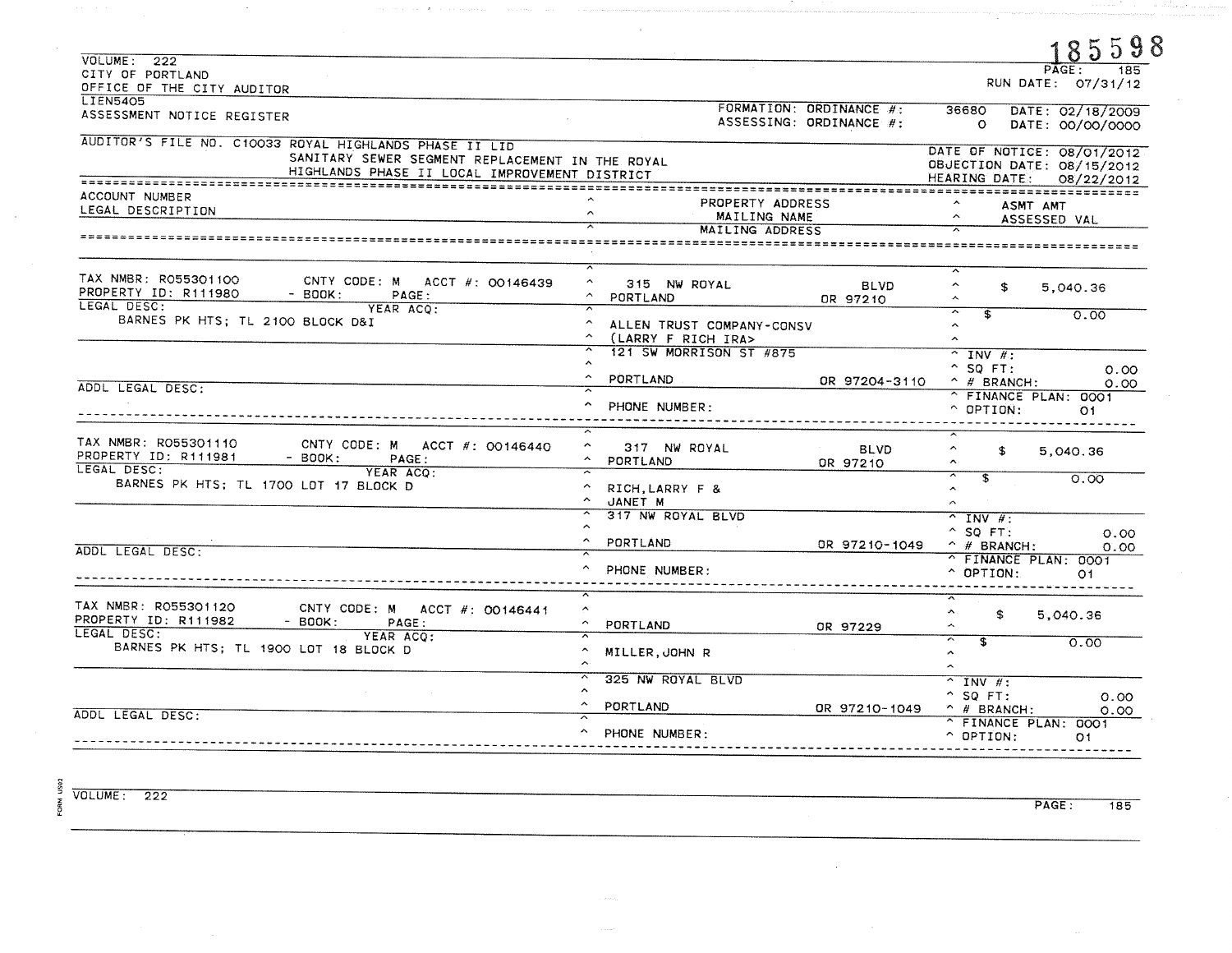|                                                           |                                          |                         |                                                     | 85598                         |
|-----------------------------------------------------------|------------------------------------------|-------------------------|-----------------------------------------------------|-------------------------------|
| VOLUME: 222                                               |                                          |                         |                                                     | $P \overline{A} G E$ :<br>185 |
| CITY OF PORTLAND                                          |                                          |                         |                                                     | RUN DATE: 07/31/12            |
| OFFICE OF THE CITY AUDITOR                                |                                          |                         |                                                     |                               |
| <b>LIEN5405</b>                                           |                                          | FORMATION: ORDINANCE #: |                                                     | 36680 DATE: 02/18/2009        |
| ASSESSMENT NOTICE REGISTER                                |                                          | ASSESSING: ORDINANCE #: |                                                     |                               |
|                                                           |                                          |                         |                                                     | O DATE: 00/00/0000            |
| AUDITOR'S FILE NO. C10033 ROYAL HIGHLANDS PHASE II LID    |                                          |                         |                                                     |                               |
| SANITARY SEWER SEGMENT REPLACEMENT IN THE ROYAL           |                                          |                         |                                                     | DATE OF NOTICE: 08/01/2012    |
| HIGHLANDS PHASE II LOCAL IMPROVEMENT DISTRICT             |                                          |                         |                                                     | OBJECTION DATE: 08/15/2012    |
|                                                           |                                          |                         |                                                     | HEARING DATE: 08/22/2012      |
| ACCOUNT NUMBER                                            |                                          |                         |                                                     |                               |
| LEGAL DESCRIPTION                                         | PROPERTY ADDRESS<br>$\sim$               |                         |                                                     | ASMT AMT                      |
|                                                           | MAILING NAME                             |                         | $\tilde{\phantom{a}}$                               | ASSESSED VAL                  |
|                                                           | MAILING ADDRESS                          |                         |                                                     |                               |
|                                                           |                                          |                         |                                                     |                               |
| TAX NMBR: R055301100<br>CNTY CODE: M ACCT $\#$ : 00146439 | $\overline{ }$<br>$\sim$<br>315 NW ROYAL |                         | $\hat{\phantom{a}}$                                 |                               |
| PROPERTY ID: R111980<br>$-$ BOOK:<br>PAGE:                | $\sim$<br>PORTLAND                       | <b>BLVD</b>             | \$                                                  | 5,040.36                      |
| LEGAL DESC:<br>YEAR ACO:                                  |                                          | OR 97210                |                                                     |                               |
| BARNES PK HTS; TL 2100 BLOCK D&I                          |                                          |                         | $\overline{\phantom{1}}$<br>$\overline{\mathbf{S}}$ | 0.00                          |
|                                                           | ALLEN TRUST COMPANY-CONSV                |                         | $\hat{\phantom{a}}$                                 |                               |
|                                                           | ^ (LARRY F RICH IRA>                     |                         |                                                     |                               |
|                                                           | 121 SW MORRISON ST #875                  |                         | $\overline{N}$ INV #:                               |                               |
|                                                           |                                          |                         | $^{\circ}$ SQ FT:                                   | 0.00                          |
|                                                           | PORTLAND                                 | OR 97204-3110           | $\hat{H}$ BRANCH:                                   | 0.00                          |
| ADDL LEGAL DESC:                                          |                                          |                         |                                                     | ^ FINANCE PLAN: 0001          |
|                                                           | PHONE NUMBER:                            |                         | $\hat{O}$ OPTION:                                   | O1                            |
|                                                           |                                          |                         |                                                     |                               |
|                                                           |                                          |                         |                                                     |                               |
| TAX NMBR: R055301110<br>CNTY CODE: M ACCT #: 00146440     | ^ 317 NW ROYAL                           | <b>BLVD</b>             | $\hat{\phantom{a}}$<br>\$                           |                               |
| PROPERTY ID: R111981<br>- BOOK: PAGE:                     | ^ PORTLAND                               |                         | $\ddot{\phantom{1}}$                                | 5,040.36                      |
| LEGAL DESC:<br>YEAR ACQ:                                  |                                          | OR 97210                |                                                     |                               |
| BARNES PK HTS; TL 1700 LOT 17 BLOCK D                     |                                          |                         | $\overline{ }$<br>$\overline{\mathbf{s}}$           | 0.00                          |
|                                                           | A RICH, LARRY F &                        |                         | $\mathbf{A}$                                        |                               |
|                                                           | ~ JANET M                                |                         | $\hat{\mathcal{N}}$                                 |                               |
|                                                           | 317 NW ROYAL BLVD                        |                         | $^{\sim}$ INV $\#$ :                                |                               |
|                                                           | $\hat{\phantom{a}}$                      |                         | $^{\circ}$ SQ FT:                                   | O.00                          |
| ADDL LEGAL DESC:                                          | $\sim$<br>PORTLAND                       | OR 97210-1049           | $\hat{ }$ # BRANCH:                                 | 0.00                          |
|                                                           |                                          |                         |                                                     | ^ FINANCE PLAN: 0001          |
|                                                           | PHONE NUMBER:                            |                         | $^{\circ}$ OPTION:                                  | O <sub>1</sub>                |
|                                                           |                                          |                         |                                                     |                               |
| TAX NMBR: RO55301120<br>CNTY CODE: M ACCT #: 00146441     | $\hat{\phantom{a}}$                      |                         | А.<br>£.                                            | 5,040.36                      |
| PROPERTY ID: R111982<br>$-$ BOOK:<br>PAGE:                | $\sim$<br>PORTLAND                       | OR 97229                | $\hat{\phantom{a}}$                                 |                               |
| LEGAL DESC:<br>YEAR ACQ:                                  |                                          |                         | $\overline{\mathcal{N}}$<br>$\overline{\mathbf{s}}$ | 0.00                          |
| BARNES PK HTS; TL 1900 LOT 18 BLOCK D                     | $\hat{\phantom{a}}$<br>MILLER.JOHN R     |                         | $\hat{\phantom{a}}$                                 |                               |
|                                                           |                                          |                         | $\hat{\phantom{a}}$                                 |                               |
|                                                           | 325 NW ROYAL BLVD                        |                         |                                                     |                               |
|                                                           | $\sim$                                   |                         | $^{\sim}$ INV #:                                    |                               |
|                                                           | $\sim$                                   |                         | $^{\circ}$ SQ FT:                                   | 0.00                          |
| ADDL LEGAL DESC:                                          | PORTLAND                                 | OR 97210-1049           | $\hat{p}$ # BRANCH:                                 | 0.00                          |
|                                                           | PHONE NUMBER:                            |                         | ^ FINANCE PLAN: 0001                                |                               |
|                                                           |                                          |                         | $\hat{ }$ OPTION:                                   | O <sub>1</sub>                |

FORM US02

 $\sim$ 

VOLUME: 222

 $\sim$ 

PAGE:  $\overline{185}$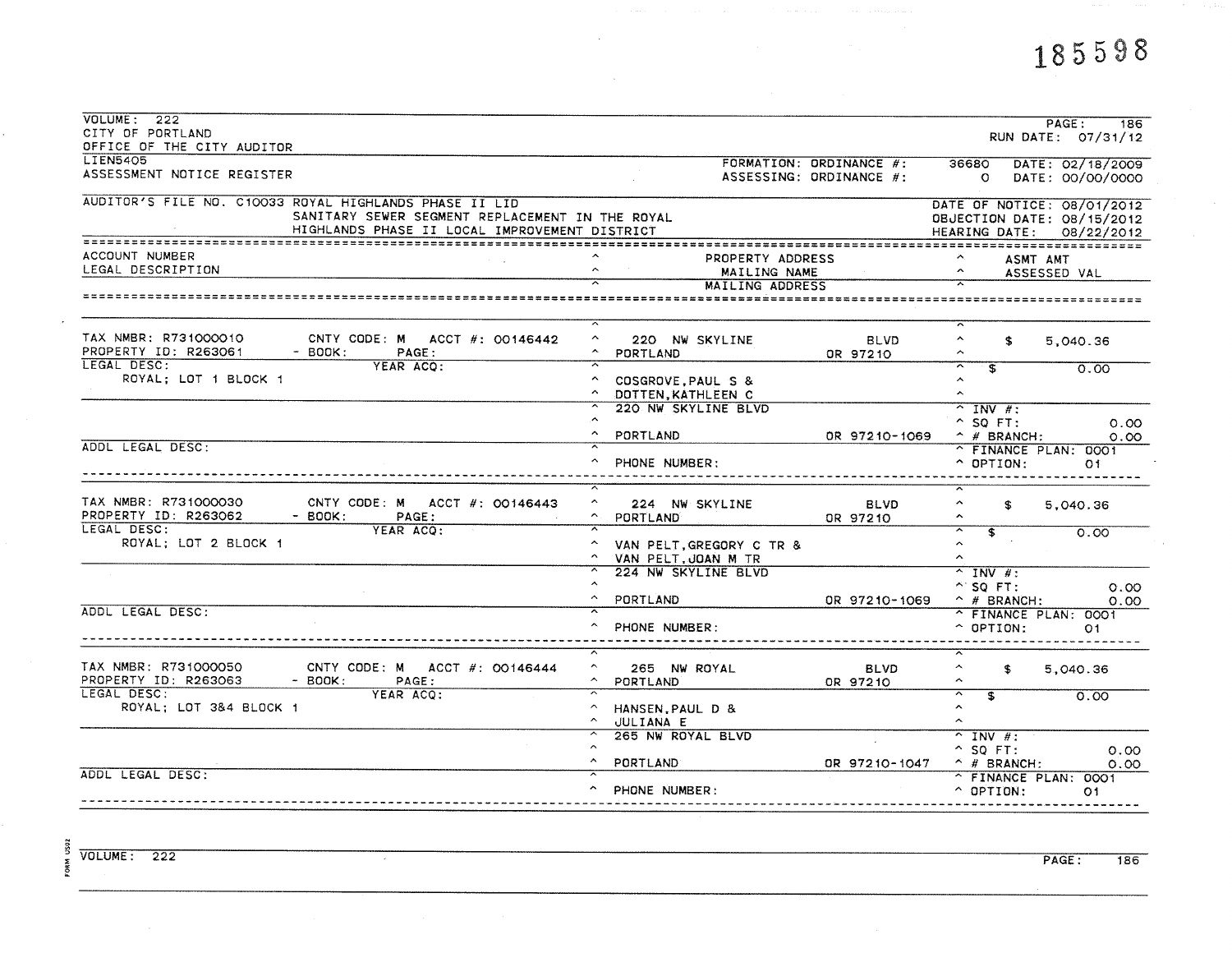$\sim 10^{-1}$ 

 $\mathcal{A}^{\pm}$ 

| VOLUTIONE: 222<br>CITY OF PORTLAND<br>OFFICE OF THE CITY AUDITOR                                                                                           | PAGE:<br>186<br>RUN DATE: 07/31/12                                                                                                                   |
|------------------------------------------------------------------------------------------------------------------------------------------------------------|------------------------------------------------------------------------------------------------------------------------------------------------------|
| <b>LIEN5405</b><br>ASSESSMENT NOTICE REGISTER                                                                                                              | FORMATION: ORDINANCE #:<br>36680 DATE: 02/18/2009<br>ASSESSING: ORDINANCE #:<br>DATE: 00/00/0000<br>$\mathbf{O}$                                     |
| AUDITOR'S FILE NO. C10033 ROYAL HIGHLANDS PHASE II LID<br>SANITARY SEWER SEGMENT REPLACEMENT IN THE ROYAL<br>HIGHLANDS PHASE II LOCAL IMPROVEMENT DISTRICT | DATE OF NOTICE: 08/01/2012<br>OBJECTION DATE: 08/15/2012<br>HEARING DATE: 08/22/2012                                                                 |
| ACCOUNT NUMBER<br>LEGAL DESCRIPTION                                                                                                                        | PROPERTY ADDRESS<br>А.<br><b>ASMT AMT</b><br>$\sim$<br>MAILING NAME<br>ASSESSED VAL<br><b>MAILING ADDRESS</b>                                        |
|                                                                                                                                                            |                                                                                                                                                      |
| TAX NMBR: R731000010<br>CNTY CODE: M ACCT $#$ : 00146442<br>PROPERTY ID: R263061<br>$-$ BOOK:<br>PAGE:                                                     | $\hat{ }$<br>220 NW SKYLINE<br>$\hat{\phantom{a}}$<br><b>BLVD</b><br>\$<br>5.040.36<br>^ PORTLAND<br>OR 97210                                        |
| LEGAL DESC:<br>YEAR ACQ:<br>ROYAL; LOT 1 BLOCK 1                                                                                                           | $\overline{\mathcal{X}}$<br>$\overline{\mathbf{s}}$<br>0.00<br>$\sim$<br>COSGROVE, PAUL S &<br>DOTTEN, KATHLEEN C<br>$\ddot{\phantom{1}}$            |
|                                                                                                                                                            | 220 NW SKYLINE BLVD<br>$\overline{\wedge}$ INV #:<br>$^{\circ}$ SQ FT:<br>0.00<br>$\sim$<br>PORTLAND<br>OR 97210-1069<br>$\hat{p}$ # BRANCH:<br>0.00 |
| ADDL LEGAL DESC:                                                                                                                                           | ^ FINANCE PLAN: 0001<br>PHONE NUMBER:<br>$\sim$ OPTION:<br>O <sub>1</sub>                                                                            |
| TAX NMBR: R731000030<br>CNTY CODE: M ACCT #: 00146443<br>PROPERTY ID: R263062<br>$-$ BOOK:<br>PAGE:<br>LEGAL DESC:                                         | $\hat{\phantom{a}}$<br>224 NW SKYLINE<br><b>BLVD</b><br>$\hat{\phantom{a}}$<br>S.<br>5,040.36<br><b>PORTLAND</b><br>OR 97210<br>$\hat{\phantom{a}}$  |
| YEAR ACO:<br>ROYAL; LOT 2 BLOCK 1                                                                                                                          | ≂<br>$\overline{\mathbf{s}}$<br>0.00<br>$\hat{v}$<br>VAN PELT, GREGORY C TR &<br>$\sim$<br>VAN PELT.JOAN M TR                                        |
|                                                                                                                                                            | 224 NW SKYLINE BLVD<br>$\overline{\wedge}$ INV #:<br>$\sim$ SQ FT:<br>0.00<br>PORTLAND<br>OR 97210-1069<br>$\hat{p}$ # BRANCH:<br>0.00               |
| ADDL LEGAL DESC:                                                                                                                                           | ^ FINANCE PLAN: 0001<br>PHONE NUMBER:<br>$\hat{C}$ OPTION:<br>O1.                                                                                    |
| TAX NMBR: R731000050<br>CNTY CODE: M ACCT $\#$ : 00146444<br>PROPERTY ID: R263063<br>$-$ BOOK:<br>PAGE:                                                    | $\hat{\phantom{a}}$<br>265 NW ROYAL<br>$\hat{\phantom{a}}$<br><b>BLVD</b><br>\$<br>5,040.36<br><b>PORTLAND</b><br>$\sim$<br>OR 97210                 |
| LEGAL DESC:<br>YEAR ACQ:<br>ROYAL; LOT 3&4 BLOCK 1                                                                                                         | $\overline{ }$<br>$\overline{\mathbf{s}}$<br>0.00<br>$\sim$<br>HANSEN.PAUL D &<br>$\hat{\phantom{a}}$<br>$\sim$<br><b>JULIANA E</b>                  |
|                                                                                                                                                            | 265 NW ROYAL BLVD<br>$\overline{\sim}$ INV #:<br>$^{\circ}$ SQ FT:<br>0.00<br><b>PORTLAND</b><br>OR 97210-1047<br>$\land$ # BRANCH:<br>0.00          |
| ADDL LEGAL DESC:                                                                                                                                           | ^ FINANCE PLAN: 0001<br>PHONE NUMBER:<br>$\land$ OPTION:<br>O1                                                                                       |

 $\overline{\phantom{a}}$ 

FORM US02

PAGE: 186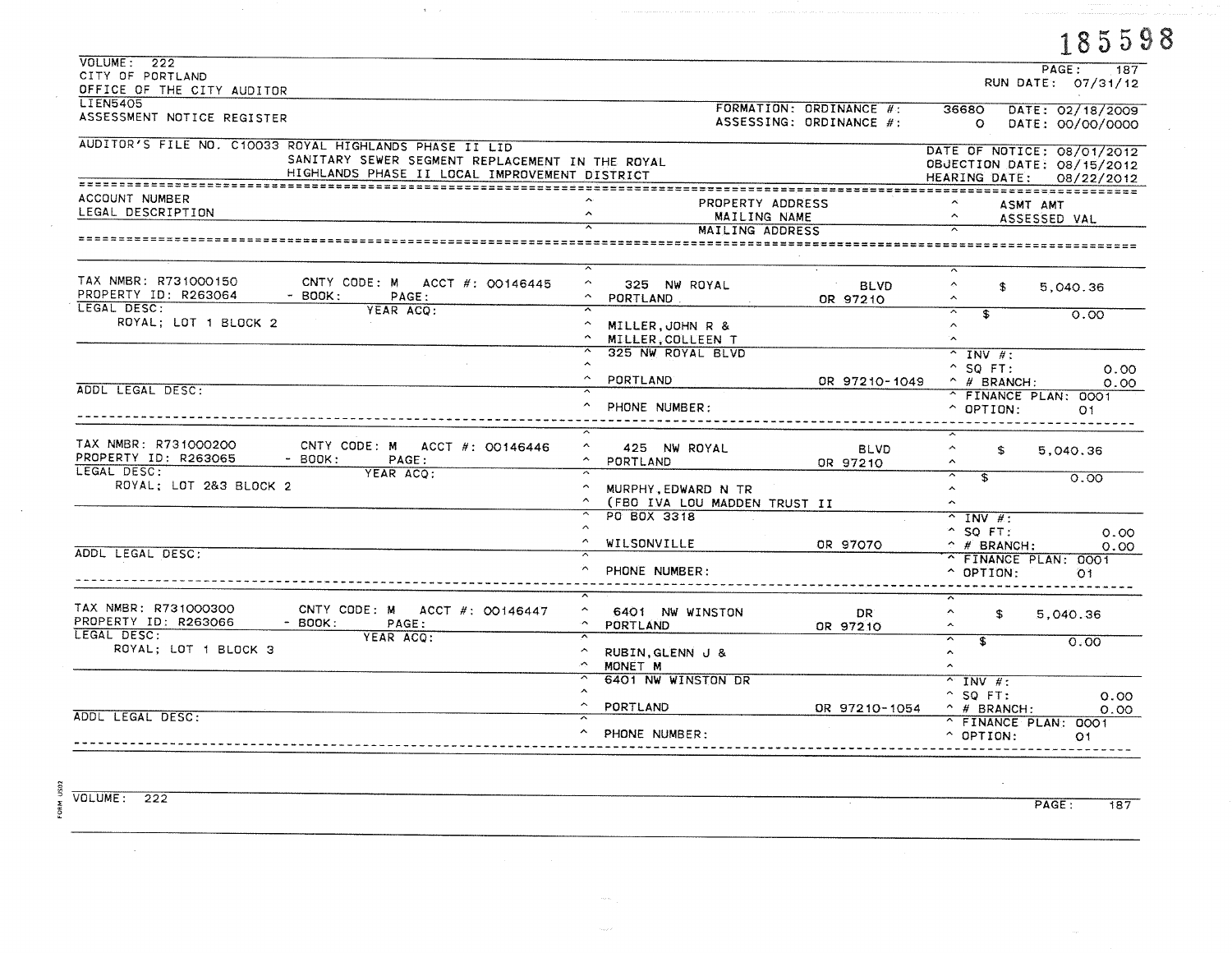|                                                                                                                                                            |                                                                                                         |                                                    |                                                                                      | 185598                               |
|------------------------------------------------------------------------------------------------------------------------------------------------------------|---------------------------------------------------------------------------------------------------------|----------------------------------------------------|--------------------------------------------------------------------------------------|--------------------------------------|
| VOLUME: 222<br>CITY OF PORTLAND<br>OFFICE OF THE CITY AUDITOR                                                                                              |                                                                                                         |                                                    |                                                                                      | PAGE:<br>187<br>RUN DATE: 07/31/12   |
| <b>LIEN5405</b><br>ASSESSMENT NOTICE REGISTER                                                                                                              |                                                                                                         | FORMATION: ORDINANCE #:<br>ASSESSING: ORDINANCE #: | 36680<br>$\Omega$                                                                    | DATE: 02/18/2009<br>DATE: 00/00/0000 |
| AUDITOR'S FILE NO. C10033 ROYAL HIGHLANDS PHASE II LID<br>SANITARY SEWER SEGMENT REPLACEMENT IN THE ROYAL<br>HIGHLANDS PHASE II LOCAL IMPROVEMENT DISTRICT |                                                                                                         |                                                    | DATE OF NOTICE: 08/01/2012<br>OBJECTION DATE: 08/15/2012<br>HEARING DATE: 08/22/2012 |                                      |
| ACCOUNT NUMBER<br>LEGAL DESCRIPTION                                                                                                                        | PROPERTY ADDRESS<br>MAILING NAME<br>MAILING ADDRESS                                                     |                                                    | ASMT AMT                                                                             | ASSESSED VAL                         |
|                                                                                                                                                            |                                                                                                         |                                                    |                                                                                      |                                      |
| TAX NMBR: R731000150<br>CNTY CODE: M ACCT $\#$ : 00146445<br>PROPERTY ID: R263064<br>$-$ BOOK:<br>PAGE:<br>LEGAL DESC:                                     | $\sim$<br>325 NW ROYAL<br>$\sim$<br>PORTLAND<br>$\overline{\phantom{a}}$                                | <b>BLVD</b><br>OR 97210                            | ×.<br>£.<br>$\overline{\phantom{a}}$                                                 | 5,040.36                             |
| YEAR ACQ:<br>ROYAL; LOT 1 BLOCK 2                                                                                                                          | A MILLER, JOHN R &<br>MILLER.COLLEEN T                                                                  |                                                    | $\overline{\phantom{1}}$<br>$\overline{\mathbf{r}}$<br>$\hat{\phantom{a}}$<br>Ñ.     | 0.00                                 |
|                                                                                                                                                            | $\overline{\mathcal{N}}$<br>325 NW ROYAL BLVD<br>$\hat{\phantom{a}}$<br>$\hat{\phantom{a}}$<br>PORTLAND | OR 97210-1049                                      | $^{\sim}$ INV $\#$ :<br>$^{\circ}$ SQ FT:<br>$\hat{p}$ # BRANCH:                     | 0.00<br>0.00                         |
| ADDL LEGAL DESC:                                                                                                                                           | $\hat{\phantom{a}}$<br>PHONE NUMBER:                                                                    |                                                    | ^ FINANCE PLAN: 0001<br>$\hat{ }$ OPTION:                                            | O <sub>1</sub>                       |
| TAX NMBR: R731000200<br>CNTY CODE: M ACCT #: 00146446<br>PROPERTY ID: R263065<br>$-$ BOOK:<br>PAGE:<br>LEGAL DESC:                                         | $\hat{\phantom{a}}$<br>425 NW ROYAL<br>$\hat{\phantom{a}}$<br>PORTLAND<br>≂                             | <b>BLVD</b><br>OR 97210                            | $\hat{\phantom{a}}$<br>£.<br>$\sim$                                                  | 5,040.36                             |
| YEAR ACQ:<br>ROYAL; LOT 2&3 BLOCK 2                                                                                                                        | $\hat{\phantom{a}}$<br>MURPHY, EDWARD N TR<br>$\sim$<br>(FBO IVA LOU MADDEN TRUST II                    |                                                    | $\overline{ }$<br>$\mathbf{F}$<br>$\hat{ }$<br>$\hat{\phantom{a}}$                   | 0.00                                 |
| ADDL LEGAL DESC:                                                                                                                                           | PO BOX 3318<br>$\hat{\phantom{a}}$<br>$\hat{ }$<br>WILSONVILLE                                          | OR 97070                                           | $^{\sim}$ INV #:<br>$^{\circ}$ SQ FT:<br>$\hat{p}$ # BRANCH:                         | 0.00<br>0.00                         |
|                                                                                                                                                            | ᅐ<br>∽<br>PHONE NUMBER:                                                                                 |                                                    | FINANCE PLAN: 0001<br>$\sim$ OPTION:                                                 | O <sub>1</sub>                       |
| TAX NMBR: R731000300<br>CNTY CODE: M ACCT #: 00146447<br>PROPERTY ID: R263066<br>- BOOK:<br>PAGE:                                                          | ≂<br>$\sim$<br>6401 NW WINSTON<br>$\sim$<br>PORTLAND                                                    | DR.<br>OR 97210                                    | ∧.<br>\$<br>$\hat{\phantom{a}}$                                                      | 5,040.36                             |
| LEGAL DESC:<br>YEAR ACO:<br>ROYAL; LOT 1 BLOCK 3                                                                                                           | ≂<br>$\hat{\phantom{a}}$<br>RUBIN, GLENN J &<br>×.<br>MONET M                                           |                                                    | ≂<br>$\overline{\mathbf{s}}$<br>$\hat{\phantom{a}}$<br>$\hat{\phantom{a}}$           | 0.00                                 |
|                                                                                                                                                            | $\overline{ }$<br>6401 NW WINSTON DR<br>$\hat{\phantom{a}}$<br>$\sim$<br>PORTLAND                       | OR 97210-1054                                      | $\overline{\wedge}$ INV #:<br>$^{\circ}$ SQ FT:<br>$\land$ # BRANCH:                 | 0.00<br>0.00                         |
| ADDL LEGAL DESC:                                                                                                                                           | $\sim$<br>PHONE NUMBER:                                                                                 |                                                    | ^ FINANCE PLAN: 0001<br>$^{\circ}$ OPTION:                                           | 01                                   |

 $\sim$ 

FORM US02  $VOLUME: 222$ 

 $\sim$ 

PAGE:  $\frac{1}{187}$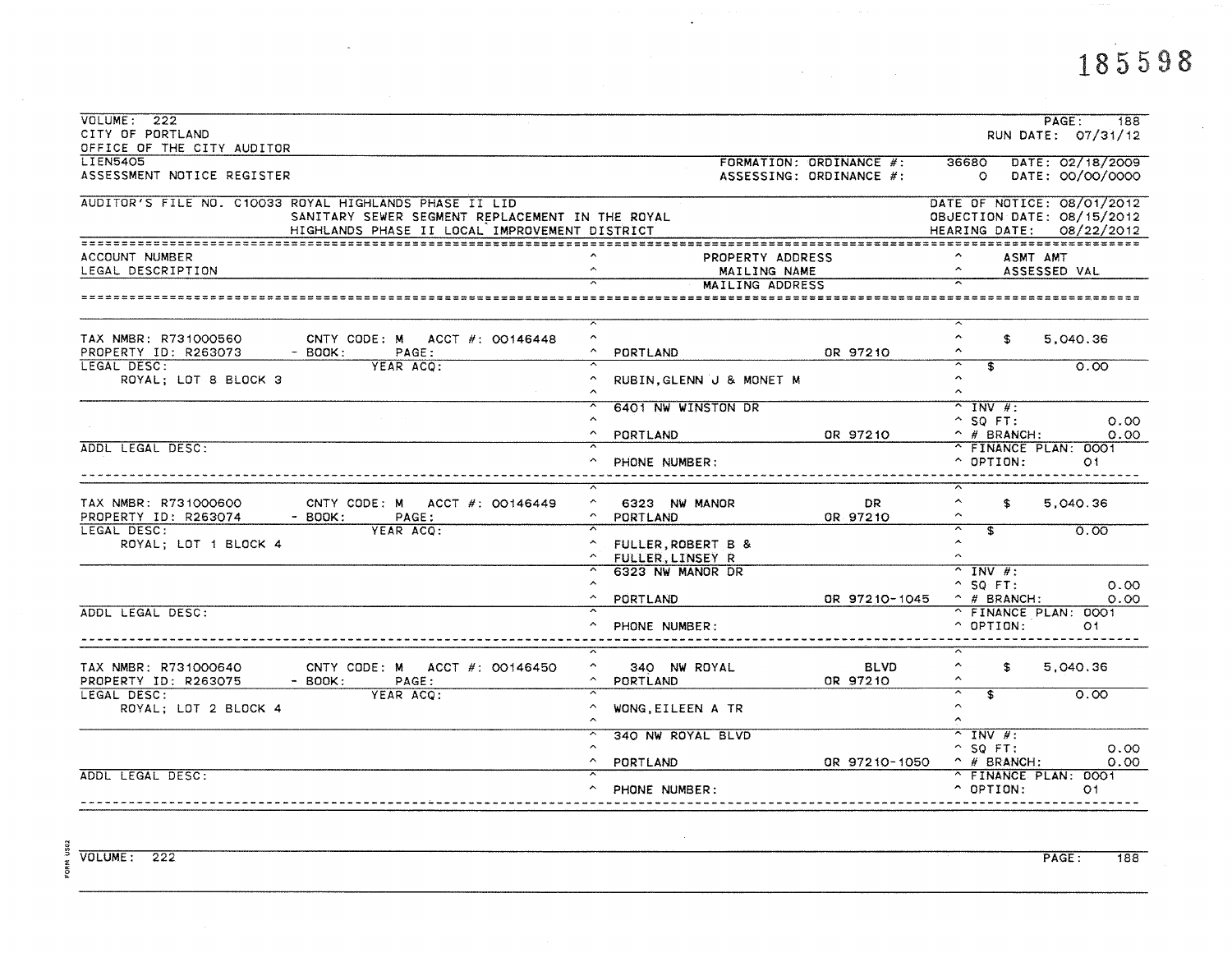| VOLUME: 222<br>CITY OF PORTLAND     |                                                        |                                               |                         |                                                     | PAGE:<br>188<br>RUN DATE: 07/31/12 |
|-------------------------------------|--------------------------------------------------------|-----------------------------------------------|-------------------------|-----------------------------------------------------|------------------------------------|
| OFFICE OF THE CITY AUDITOR          |                                                        |                                               |                         |                                                     |                                    |
| <b>LIEN5405</b>                     |                                                        |                                               | FORMATION: ORDINANCE #: | 36680                                               | DATE: 02/18/2009                   |
| ASSESSMENT NOTICE REGISTER          |                                                        |                                               | ASSESSING: ORDINANCE #: | $\circ$                                             | DATE: 00/00/0000                   |
|                                     | AUDITOR'S FILE NO. C10033 ROYAL HIGHLANDS PHASE II LID |                                               |                         | DATE OF NOTICE: 08/01/2012                          |                                    |
|                                     | SANITARY SEWER SEGMENT REPLACEMENT IN THE ROYAL        |                                               |                         | OBJECTION DATE: 08/15/2012                          |                                    |
|                                     | HIGHLANDS PHASE II LOCAL IMPROVEMENT DISTRICT          |                                               |                         | HEARING DATE: 08/22/2012                            |                                    |
|                                     |                                                        |                                               |                         |                                                     |                                    |
| ACCOUNT NUMBER                      |                                                        | PROPERTY ADDRESS                              |                         | ASMT AMT                                            |                                    |
| LEGAL DESCRIPTION                   |                                                        | $\hat{\phantom{a}}$<br>MAILING NAME           |                         |                                                     | ASSESSED VAL                       |
|                                     |                                                        | MAILING ADDRESS                               |                         |                                                     |                                    |
|                                     |                                                        |                                               |                         |                                                     |                                    |
| TAX NMBR: R731000560                | CNTY CODE: M ACCT $\#$ : 00146448                      | $\hat{\phantom{a}}$                           |                         | $\hat{\phantom{a}}$<br>\$                           | 5.040.36                           |
| PROPERTY ID: R263073                | $-$ BOOK:<br>PAGE:                                     | $\hat{\phantom{a}}$<br>PORTLAND               | OR 97210                |                                                     |                                    |
| LEGAL DESC:                         | YEAR ACO:                                              |                                               |                         | ङ<br>$\overline{\phantom{1}}$                       | 0.00                               |
| ROYAL; LOT 8 BLOCK 3                |                                                        | RUBIN, GLENN J & MONET M                      |                         | $\hat{\phantom{a}}$                                 |                                    |
|                                     |                                                        |                                               |                         | ^.                                                  |                                    |
|                                     |                                                        | 6401 NW WINSTON DR                            |                         | $^{\sim}$ INV #:                                    |                                    |
|                                     |                                                        | $\hat{ }$                                     |                         | $^{\sim}$ SO FT:                                    | 0.00                               |
|                                     |                                                        | $\hat{\phantom{a}}$<br>PORTLAND               | OR 97210                | $\land$ # BRANCH:                                   | 0.00                               |
| ADDL LEGAL DESC:                    |                                                        |                                               |                         | ^ FINANCE PLAN: 0001                                |                                    |
|                                     |                                                        | PHONE NUMBER:                                 |                         | $\sim$ OPTION:                                      | O <sub>1</sub>                     |
|                                     |                                                        |                                               |                         |                                                     |                                    |
|                                     |                                                        | $\hat{\phantom{a}}$                           |                         | $\hat{\phantom{a}}$                                 |                                    |
| TAX NMBR: R731000600                | CNTY CODE: M ACCT #: 00146449                          | 6323 NW MANOR                                 | DR.                     | \$                                                  | 5.040.36                           |
| PROPERTY ID: R263074<br>LEGAL DESC: | $-$ BOOK:<br>PAGE:<br>YEAR ACO:                        | PORTLAND                                      | OR 97210                | ≂<br>$\overline{\mathbf{f}}$                        | 0.00                               |
| ROYAL; LOT 1 BLOCK 4                |                                                        | FULLER, ROBERT B &                            |                         | $\hat{\phantom{a}}$                                 |                                    |
|                                     |                                                        | $\hat{\phantom{a}}$<br><b>FULLER.LINSEY R</b> |                         | $\hat{ }$                                           |                                    |
|                                     |                                                        | 6323 NW MANOR DR                              |                         | $^{\sim}$ INV #:                                    |                                    |
|                                     |                                                        | ㅅ                                             |                         | $^{\circ}$ SQ FT:                                   | 0.00                               |
|                                     |                                                        | <b>PORTLAND</b>                               | OR 97210-1045           | $\hat{p}$ # BRANCH:                                 | 0.00                               |
| ADDL LEGAL DESC:                    |                                                        |                                               |                         | ^ FINANCE PLAN: 0001                                |                                    |
|                                     |                                                        | PHONE NUMBER:                                 |                         | $^{\circ}$ OPTION:                                  | O1.                                |
|                                     |                                                        |                                               |                         |                                                     |                                    |
|                                     |                                                        | $\hat{\phantom{a}}$                           |                         | $\hat{\phantom{a}}$                                 |                                    |
| TAX NMBR: R731000640                | CNTY CODE: M $ACCT$ #: 00146450                        | 340 NW ROYAL                                  | <b>BLVD</b>             | $\mathbf{f}$<br>$\sim$                              | 5,040.36                           |
| PROPERTY ID: R263075                | $-$ BOOK:<br>PAGE:                                     | PORTLAND                                      | OR 97210                | $\overline{\phantom{1}}$<br>$\overline{\mathbf{z}}$ |                                    |
| LEGAL DESC:                         | YEAR ACO:                                              | $\hat{\phantom{a}}$                           |                         | $\sim$                                              | 0.00                               |
| ROYAL; LOT 2 BLOCK 4                |                                                        | WONG, EILEEN A TR                             |                         | $\hat{\phantom{a}}$                                 |                                    |
|                                     |                                                        | 340 NW ROYAL BLVD                             |                         | $\overline{\wedge}$ INV #:                          |                                    |
|                                     |                                                        |                                               |                         | $^{\circ}$ SQ FT:                                   | 0.00                               |
|                                     |                                                        | $\sim$<br>PORTLAND                            | OR 97210-1050           | $\land$ # BRANCH:                                   | 0.00                               |
| ADDL LEGAL DESC:                    |                                                        |                                               |                         | ^ FINANCE PLAN: 0001                                |                                    |
|                                     |                                                        | PHONE NUMBER:                                 |                         | $\sim$ OPTION:                                      | 01                                 |
|                                     |                                                        |                                               |                         |                                                     |                                    |
|                                     |                                                        |                                               |                         |                                                     |                                    |

 $\ddot{\phantom{a}}$ 

 $\label{eq:2.1} \mathcal{L}(\mathcal{L}^{\text{max}}_{\mathcal{L}}(\mathcal{L}^{\text{max}}_{\mathcal{L}})) \leq \mathcal{L}(\mathcal{L}^{\text{max}}_{\mathcal{L}}(\mathcal{L}^{\text{max}}_{\mathcal{L}}))$ 

 $\sim 10^7$ 

FORM US02

 $\sim 10^6$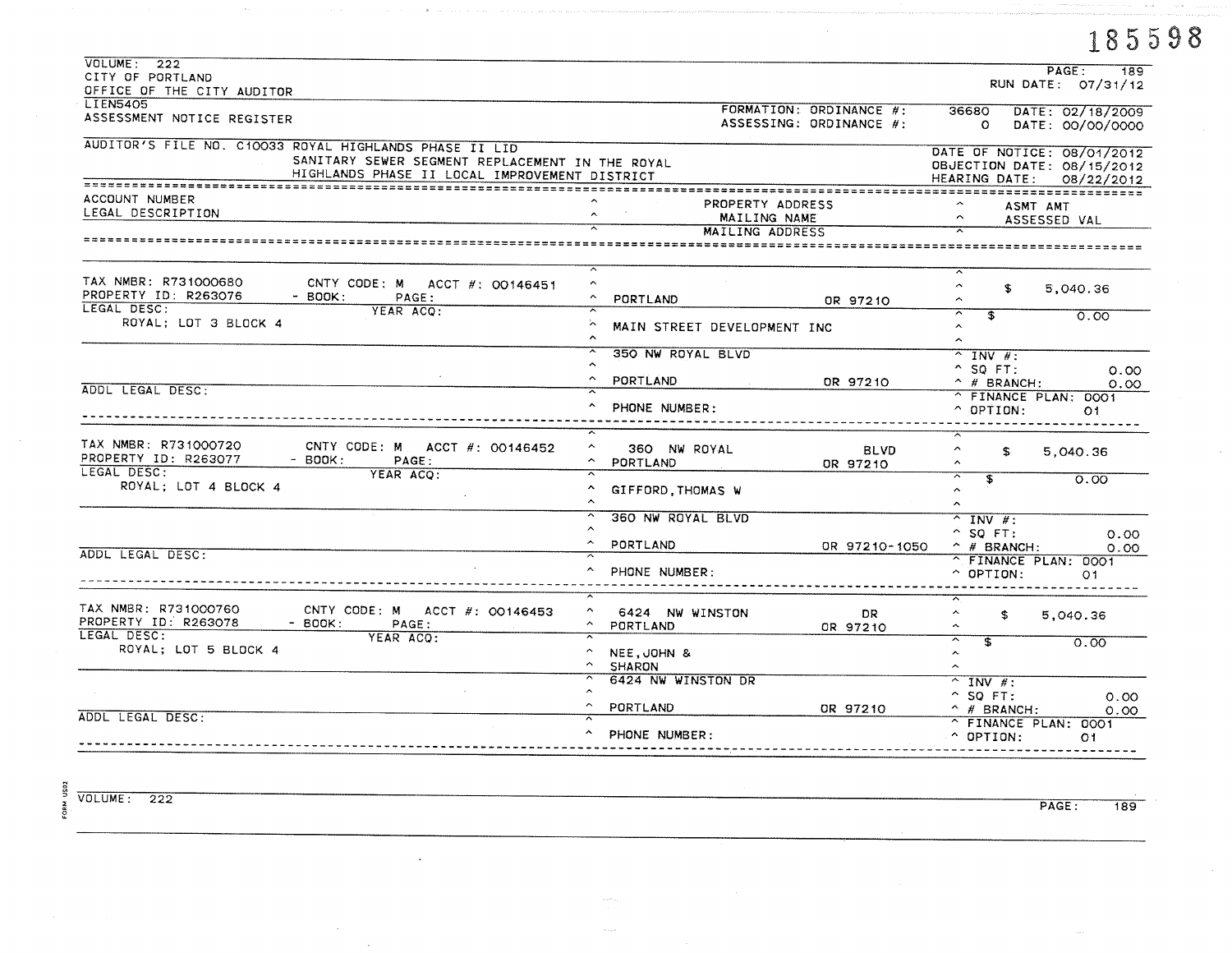|                                                                                                                                                            |                                                                           |                                                    | 185598                                                                                                        |
|------------------------------------------------------------------------------------------------------------------------------------------------------------|---------------------------------------------------------------------------|----------------------------------------------------|---------------------------------------------------------------------------------------------------------------|
| VOLUTIONE: 222<br>CITY OF PORTLAND<br>OFFICE OF THE CITY AUDITOR                                                                                           |                                                                           |                                                    | PAGE:<br>189<br>RUN DATE: 07/31/12                                                                            |
| <b>LIEN5405</b><br>ASSESSMENT NOTICE REGISTER                                                                                                              |                                                                           | FORMATION: ORDINANCE #:<br>ASSESSING: ORDINANCE #: | 36680<br>DATE: 02/18/2009<br>$\circ$<br>DATE: 00/00/0000                                                      |
| AUDITOR'S FILE NO. C10033 ROYAL HIGHLANDS PHASE II LID<br>SANITARY SEWER SEGMENT REPLACEMENT IN THE ROYAL<br>HIGHLANDS PHASE II LOCAL IMPROVEMENT DISTRICT |                                                                           |                                                    | DATE OF NOTICE: 08/01/2012<br>OBJECTION DATE: 08/15/2012<br>HEARING DATE: 08/22/2012                          |
| ACCOUNT NUMBER<br>LEGAL DESCRIPTION                                                                                                                        | MAILING ADDRESS                                                           | PROPERTY ADDRESS<br>MAILING NAME                   | ASMT AMT<br>ASSESSED VAL                                                                                      |
|                                                                                                                                                            |                                                                           |                                                    |                                                                                                               |
| TAX NMBR: R731000680<br>CNTY CODE: M ACCT #: 00146451<br>PROPERTY ID: R263076<br>$-$ BOOK:<br>PAGE:                                                        | $\hat{\phantom{a}}$<br>PORTLAND                                           | OR 97210                                           | $\hat{\phantom{a}}$<br>\$<br>5,040.36<br>$\hat{\phantom{a}}$                                                  |
| LEGAL DESC:<br>YEAR ACQ:<br>ROYAL; LOT 3 BLOCK 4                                                                                                           | MAIN STREET DEVELOPMENT INC<br>$\hat{\phantom{a}}$                        |                                                    | ∼<br>\$<br>0.00<br>$\boldsymbol{\mathcal{N}}$<br>$\hat{\phantom{a}}$                                          |
|                                                                                                                                                            | 350 NW ROYAL BLVD<br>$\hat{\phantom{a}}$                                  |                                                    | $^{\sim}$ INV #:<br>$^{\circ}$ SO FT:<br>0.00                                                                 |
| ADDL LEGAL DESC:                                                                                                                                           | PORTLAND<br>PHONE NUMBER:                                                 | OR 97210                                           | $\hat{ }$ # BRANCH:<br>0.00<br>^ FINANCE PLAN: 0001<br>$\land$ OPTION:<br>O1.                                 |
| TAX NMBR: R731000720<br>CNTY CODE: M ACCT $\#$ : 00146452<br>PROPERTY ID: R263077<br>$-$ BOOK:<br>PAGE:                                                    | $\hat{\phantom{a}}$<br>360 NW ROYAL<br>$\sim$<br>PORTLAND                 | <b>BLVD</b><br>OR 97210                            | $\hat{\phantom{a}}$<br>£.<br>5,040.36<br>$\hat{\phantom{a}}$                                                  |
| LEGAL DESC:<br>YEAR ACO:<br>ROYAL; LOT 4 BLOCK 4                                                                                                           | $\hat{\phantom{a}}$<br>GIFFORD THOMAS W                                   |                                                    | $\overline{\pi}$<br>\$<br>0.00<br>$\boldsymbol{\wedge}$<br>$\hat{\phantom{a}}$                                |
|                                                                                                                                                            | 360 NW ROYAL BLVD                                                         |                                                    | $^{\circ}$ INV $\#$ :<br>$^{\wedge}$ SQ FT:<br>0.00                                                           |
| ADDL LEGAL DESC:                                                                                                                                           | PORTLAND<br>PHONE NUMBER:                                                 | OR 97210-1050                                      | $^{\sim}$ # BRANCH:<br>0.00<br>^ FINANCE PLAN: 0001<br>$\hat{ }$ OPTION:<br>O <sub>1</sub>                    |
| TAX NMBR: R731000760<br>CNTY CODE: M ACCT #: 00146453<br>PROPERTY ID: R263078<br>$-$ BOOK:<br>PAGE:                                                        | $\hat{\phantom{a}}$<br>6424 NW WINSTON<br>$\hat{\phantom{a}}$<br>PORTLAND | DR.<br>OR 97210                                    | ㅅ<br>\$<br>5,040.36<br>$\hat{\phantom{a}}$                                                                    |
| LEGAL DESC:<br>YEAR ACO:<br>ROYAL; LOT 5 BLOCK 4                                                                                                           | NEE, JOHN &<br><b>SHARON</b>                                              |                                                    | $\overline{\phantom{1}}$<br>$\overline{\mathbf{s}}$<br>0.00<br>$\hat{\phantom{a}}$<br>$\widehat{\phantom{a}}$ |
|                                                                                                                                                            | 6424 NW WINSTON DR<br>PORTLAND                                            | OR 97210                                           | $\overline{\wedge}$ INV #:<br>$^{\circ}$ SQ FT:<br>0.00<br>$\hat{H}$ BRANCH:                                  |
| ADDL LEGAL DESC:                                                                                                                                           | PHONE NUMBER:                                                             |                                                    | 0.00<br>^ FINANCE PLAN: 0001<br>$^{\circ}$ OPTION:<br>O <sub>1</sub>                                          |

 $VOLUME: 222$ 

FORM US02

PAGE: 189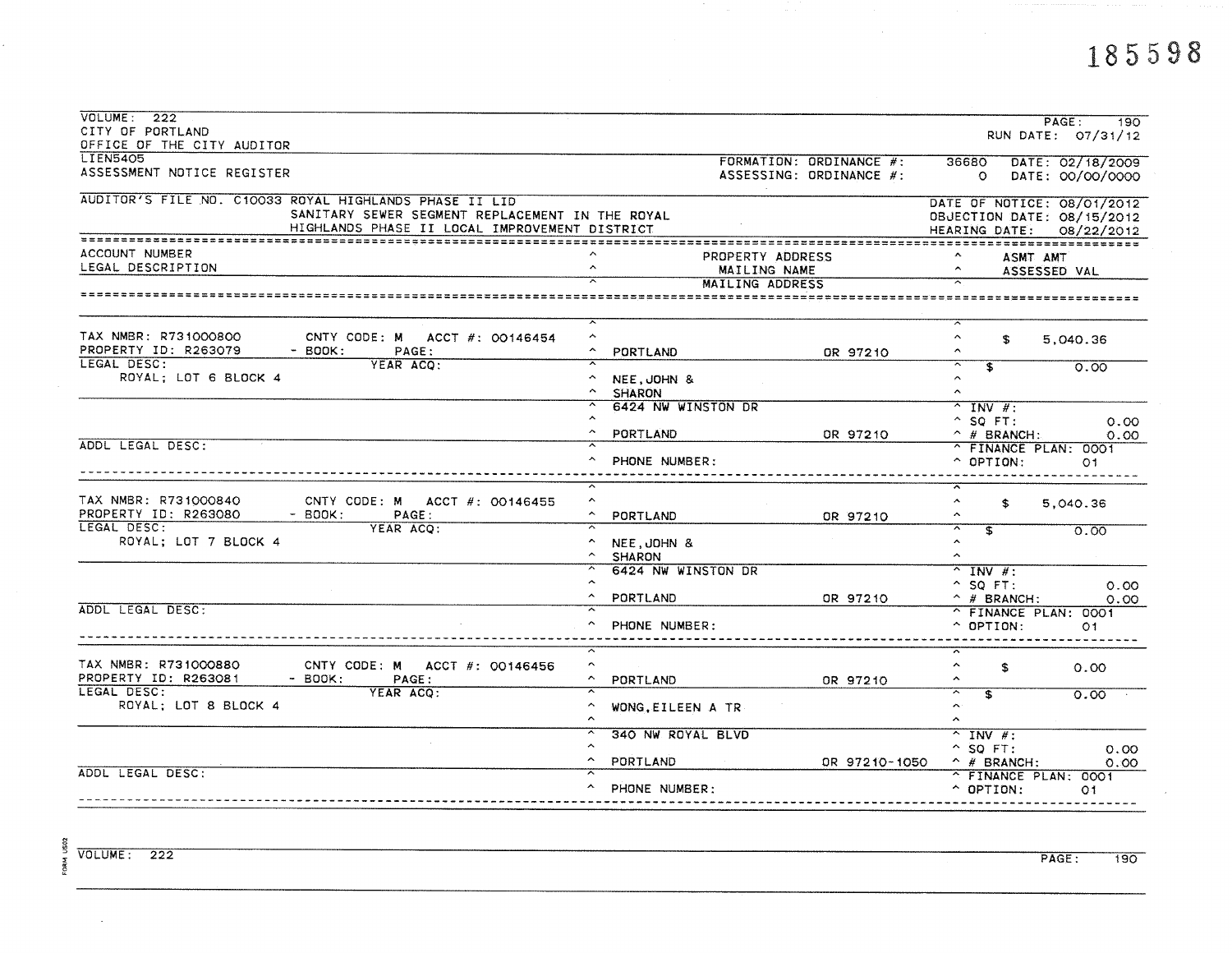| VOLUME: 222                                              |                                                        |                                          |                         |                                                        |                    |
|----------------------------------------------------------|--------------------------------------------------------|------------------------------------------|-------------------------|--------------------------------------------------------|--------------------|
| CITY OF PORTLAND                                         |                                                        |                                          |                         |                                                        | PAGE:<br>190       |
| OFFICE OF THE CITY AUDITOR                               |                                                        |                                          |                         |                                                        | RUN DATE: 07/31/12 |
| <b>LIEN5405</b>                                          |                                                        |                                          |                         |                                                        |                    |
| ASSESSMENT NOTICE REGISTER                               |                                                        |                                          | FORMATION: ORDINANCE #: | 36680                                                  | DATE: 02/18/2009   |
|                                                          |                                                        |                                          | ASSESSING: ORDINANCE #: | $\circ$                                                | DATE: 00/00/0000   |
|                                                          | AUDITOR'S FILE NO. C10033 ROYAL HIGHLANDS PHASE II LID |                                          |                         |                                                        |                    |
|                                                          | SANITARY SEWER SEGMENT REPLACEMENT IN THE ROYAL        |                                          |                         | DATE OF NOTICE: 08/01/2012                             |                    |
|                                                          | HIGHLANDS PHASE II LOCAL IMPROVEMENT DISTRICT          |                                          |                         | OBJECTION DATE: 08/15/2012                             |                    |
|                                                          |                                                        |                                          |                         | HEARING DATE: 08/22/2012                               |                    |
| ACCOUNT NUMBER                                           |                                                        |                                          | PROPERTY ADDRESS        | ASMT AMT                                               |                    |
| LEGAL DESCRIPTION<br>$\hat{\phantom{a}}$<br>MAILING NAME |                                                        |                                          |                         |                                                        | ASSESSED VAL       |
|                                                          |                                                        |                                          | MAILING ADDRESS         |                                                        |                    |
| ======================                                   |                                                        |                                          |                         |                                                        |                    |
|                                                          |                                                        |                                          |                         |                                                        |                    |
| TAX NMBR: R731000800                                     | CNTY CODE: M ACCT #: 00146454                          | $\hat{\phantom{a}}$                      |                         | $\hat{\phantom{a}}$<br>S.                              | 5,040.36           |
| PROPERTY ID: R263079                                     | $-$ BOOK:<br>PAGE:                                     | PORTLAND                                 | OR 97210                | ⌒                                                      |                    |
| LEGAL DESC:                                              | YEAR ACO:                                              |                                          |                         | $\overline{\widetilde{\ }}$<br>$\overline{\mathbf{s}}$ | 0.00               |
| ROYAL; LOT 6 BLOCK 4                                     |                                                        | NEE, JOHN &                              |                         | $\hat{\phantom{a}}$                                    |                    |
|                                                          |                                                        | $\hat{\phantom{a}}$<br><b>SHARON</b>     |                         | $\hat{\phantom{a}}$                                    |                    |
|                                                          |                                                        | 6424 NW WINSTON DR                       |                         | $^{\sim}$ INV #:                                       |                    |
|                                                          |                                                        |                                          |                         | $^{\circ}$ SQ FT:                                      | 0.00               |
|                                                          |                                                        | PORTLAND                                 | OR 97210                | $\land$ # BRANCH:                                      | 0.00               |
| ADDL LEGAL DESC:                                         |                                                        |                                          |                         | ^ FINANCE PLAN: 0001                                   |                    |
|                                                          |                                                        | PHONE NUMBER:                            |                         | $\hat{C}$ OPTION:                                      | O <sub>1</sub>     |
|                                                          |                                                        |                                          |                         |                                                        |                    |
|                                                          |                                                        |                                          |                         |                                                        |                    |
| TAX NMBR: R731000840                                     | CNTY CODE: M ACCT $\#$ : 00146455                      | $\hat{\phantom{a}}$                      |                         | $\hat{ }$<br>\$                                        | 5.040.36           |
| PROPERTY ID: R263080                                     | $-$ BOOK:<br>PAGE:                                     | $\hat{\phantom{a}}$<br>PORTLAND          | OR 97210                | $\hat{ }$                                              |                    |
| LEGAL DESC:                                              | YEAR ACQ:                                              |                                          |                         | $\overline{\mathbf{r}}$                                | 0.00               |
| ROYAL; LOT 7 BLOCK 4                                     |                                                        | NEE, JOHN &                              |                         | $\hat{~}$                                              |                    |
|                                                          |                                                        | <b>SHARON</b>                            |                         | $\hat{\phantom{a}}$                                    |                    |
|                                                          |                                                        | 6424 NW WINSTON DR                       |                         | $^{\sim}$ INV #:                                       |                    |
|                                                          |                                                        |                                          |                         | $^{\circ}$ SQ FT:                                      | 0.00               |
|                                                          |                                                        | PORTLAND                                 | OR 97210                | $\hat{p}$ # BRANCH:                                    | 0.00               |
| ADDL LEGAL DESC:                                         |                                                        |                                          |                         | ^ FINANCE PLAN: 0001                                   |                    |
|                                                          |                                                        | PHONE NUMBER:                            |                         | $\hat{O}$ OPTION:                                      | O <sub>1</sub>     |
|                                                          |                                                        |                                          |                         |                                                        |                    |
| TAX NMBR: R731000880                                     | CNTY CODE: M ACCT $#$ : 00146456                       | $\hat{\phantom{a}}$                      |                         | ᅐ<br>$\hat{\phantom{a}}$<br>\$                         | 0.00               |
| PROPERTY ID: R263081                                     | $-$ BOOK:<br>PAGE:                                     | ^<br>PORTLAND                            | OR 97210                | $\hat{\phantom{a}}$                                    |                    |
| LEGAL DESC:                                              | YEAR ACQ:                                              |                                          |                         | ⊼<br>s.                                                | 0.00               |
| ROYAL; LOT 8 BLOCK 4                                     |                                                        | $\hat{\phantom{a}}$<br>WONG, EILEEN A TR |                         | $\boldsymbol{\wedge}$                                  |                    |
|                                                          |                                                        |                                          |                         | $\hat{\phantom{a}}$                                    |                    |
|                                                          |                                                        | <b>340 NW ROYAL BLVD</b>                 |                         | $\overline{N}$ INV #:                                  |                    |
|                                                          |                                                        |                                          |                         | $^{\circ}$ SQ FT:                                      | 0.00               |
|                                                          |                                                        | $\hat{\phantom{a}}$<br>PORTLAND          | OR 97210-1050           | $\land$ # BRANCH:                                      | 0.00               |
| ADDL LEGAL DESC:                                         |                                                        |                                          |                         | ^ FINANCE PLAN: 0001                                   |                    |
|                                                          |                                                        | $\hat{\phantom{a}}$<br>PHONE NUMBER:     |                         | $^{\circ}$ OPTION:                                     | O <sub>1</sub>     |
|                                                          |                                                        |                                          |                         |                                                        |                    |
|                                                          |                                                        |                                          |                         |                                                        |                    |

FORM US02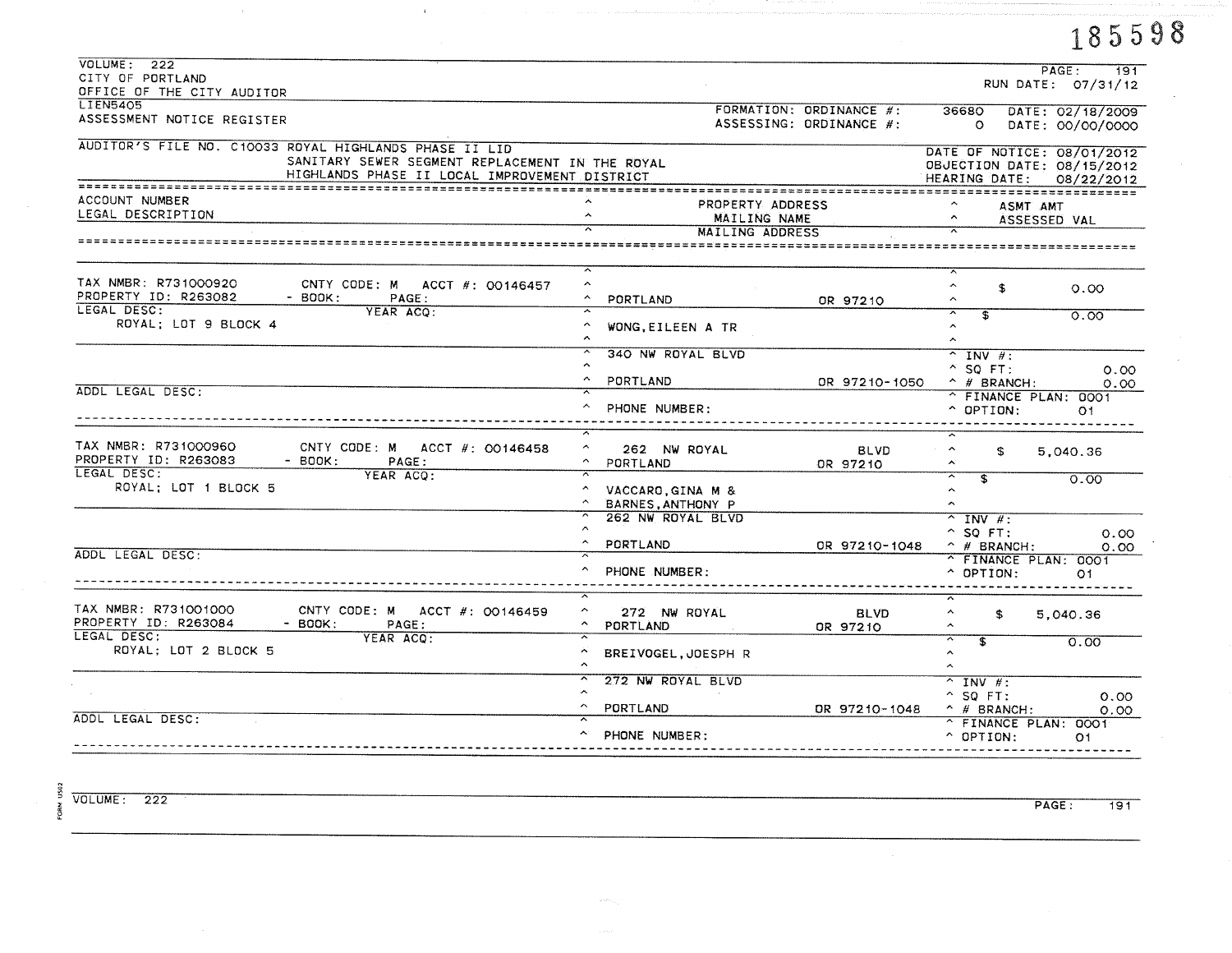|                                                        |                                          |                         |                              | 185598                                                   |
|--------------------------------------------------------|------------------------------------------|-------------------------|------------------------------|----------------------------------------------------------|
| VOLUTIONE: 222                                         |                                          |                         |                              | PAGE:<br>191                                             |
| CITY OF PORTLAND                                       |                                          |                         |                              | RUN DATE: 07/31/12                                       |
| OFFICE OF THE CITY AUDITOR                             |                                          |                         |                              |                                                          |
| <b>LIEN5405</b><br>ASSESSMENT NOTICE REGISTER          |                                          | FORMATION: ORDINANCE #: | 36680                        | DATE: 02/18/2009                                         |
|                                                        |                                          | ASSESSING: ORDINANCE #: | $\circ$                      | DATE: 00/00/0000                                         |
| AUDITOR'S FILE NO. C10033 ROYAL HIGHLANDS PHASE II LID |                                          |                         |                              |                                                          |
| SANITARY SEWER SEGMENT REPLACEMENT IN THE ROYAL        |                                          |                         |                              | DATE OF NOTICE: 08/01/2012<br>OBJECTION DATE: 08/15/2012 |
| HIGHLANDS PHASE II LOCAL IMPROVEMENT DISTRICT          |                                          |                         |                              | HEARING DATE: 08/22/2012                                 |
|                                                        |                                          |                         |                              |                                                          |
| ACCOUNT NUMBER                                         | PROPERTY ADDRESS                         |                         |                              | ASMT AMT                                                 |
| LEGAL DESCRIPTION                                      | MAILING NAME                             |                         |                              | ASSESSED VAL                                             |
|                                                        | MAILING ADDRESS                          |                         |                              |                                                          |
|                                                        |                                          |                         |                              |                                                          |
| TAX NMBR: R731000920<br>CNTY CODE: M ACCT #: 00146457  | $\overline{ }$<br>$\hat{ }$              |                         | $\hat{\phantom{a}}$          |                                                          |
| PROPERTY ID: R263082<br>$-$ BOOK:<br>PAGE:             | $\hat{ }$<br>PORTLAND                    | OR 97210                | \$<br>$\hat{\phantom{a}}$    | 0.00                                                     |
| LEGAL DESC:<br>YEAR ACO:                               | ≂                                        |                         | $\overline{\mathbf{s}}$      | 0.00                                                     |
| ROYAL; LOT 9 BLOCK 4                                   | $\hat{\phantom{a}}$<br>WONG, EILEEN A TR |                         | $\sim$                       |                                                          |
|                                                        | $\hat{\mathbf{v}}$                       |                         | $\sim$                       |                                                          |
|                                                        | 340 NW ROYAL BLVD                        |                         | $^{\sim}$ INV $\#$ :         |                                                          |
|                                                        | $\hat{\phantom{a}}$                      |                         | $^{\sim}$ SO FT:             | 0.00                                                     |
|                                                        | $\sim$<br>PORTLAND                       | OR 97210-1050           | $\land$ # BRANCH:            | 0.00                                                     |
| ADDL LEGAL DESC:                                       |                                          |                         |                              | ^ FINANCE PLAN: 0001                                     |
|                                                        | ㅅ<br>PHONE NUMBER:                       |                         | $\hat{C}$ OPTION:            | O1.                                                      |
|                                                        | $\sim$                                   |                         |                              |                                                          |
| TAX NMBR: R731000960<br>CNTY CODE: M ACCT #: 00146458  | $\hat{ }$<br>262 NW ROYAL                | <b>BLVD</b>             | $\blacktriangle$<br>\$       |                                                          |
| PROPERTY ID: R263083<br>$-$ BOOK:<br>PAGE:             | $\hat{\phantom{a}}$<br>PORTLAND          | OR 97210                | $\sim$                       | 5,040.36                                                 |
| LEGAL DESC:<br>YEAR ACO:                               |                                          |                         | ≂<br>\$ï                     | 0.00                                                     |
| ROYAL; LOT 1 BLOCK 5                                   | $\sim$<br>VACCARO, GINA M &              |                         | $\hat{\phantom{a}}$          |                                                          |
|                                                        | BARNES, ANTHONY P                        |                         | $\sim$                       |                                                          |
|                                                        | 262 NW ROYAL BLVD                        |                         | $^{\sim}$ INV #:             |                                                          |
|                                                        | $\sim$                                   |                         | $^{\circ}$ SO FT:            | 0.00                                                     |
| ADDL LEGAL DESC:                                       | $\sim$<br>PORTLAND                       | OR 97210-1048           | $\hat{H}$ BRANCH:            | 0.00                                                     |
|                                                        |                                          |                         | ^ FINANCE PLAN: 0001         |                                                          |
|                                                        | $\hat{\phantom{a}}$<br>PHONE NUMBER:     |                         | $\hat{ }$ OPTION:            | O1                                                       |
|                                                        |                                          |                         |                              |                                                          |
| TAX NMBR: R731001000<br>CNTY CODE: M ACCT #: 00146459  | $\hat{\phantom{a}}$<br>272 NW ROYAL      | <b>BLVD</b>             | Λ.                           |                                                          |
| PROPERTY ID: R263084<br>$-$ BOOK:<br>PAGE:             | PORTLAND                                 | OR 97210                | \$<br>$\sim$                 | 5,040.36                                                 |
| LEGAL DESC:<br>YEAR ACO:                               |                                          |                         | ᅐ<br>$\overline{\mathbf{r}}$ | 0.00                                                     |
| ROYAL; LOT 2 BLOCK 5                                   | BREIVOGEL, JOESPH R                      |                         | $\sim$                       |                                                          |
|                                                        | $\sim$                                   |                         | $\hat{\phantom{a}}$          |                                                          |
|                                                        | 272 NW ROYAL BLVD                        |                         | $^{\sim}$ INV #:             |                                                          |
|                                                        | $\hat{\phantom{a}}$                      |                         | $^{\circ}$ SQ FT:            | 0.00                                                     |
|                                                        | $\hat{ }$<br>PORTLAND                    | DR 97210-1048           | $\hat{p}$ # BRANCH:          | 0.00                                                     |
| ADDL LEGAL DESC:                                       |                                          |                         |                              | ^ FINANCE PLAN: 0001                                     |
|                                                        |                                          |                         |                              |                                                          |

 $VOLUME: 222$ 

FORM US02

PAGE:  $\overline{191}$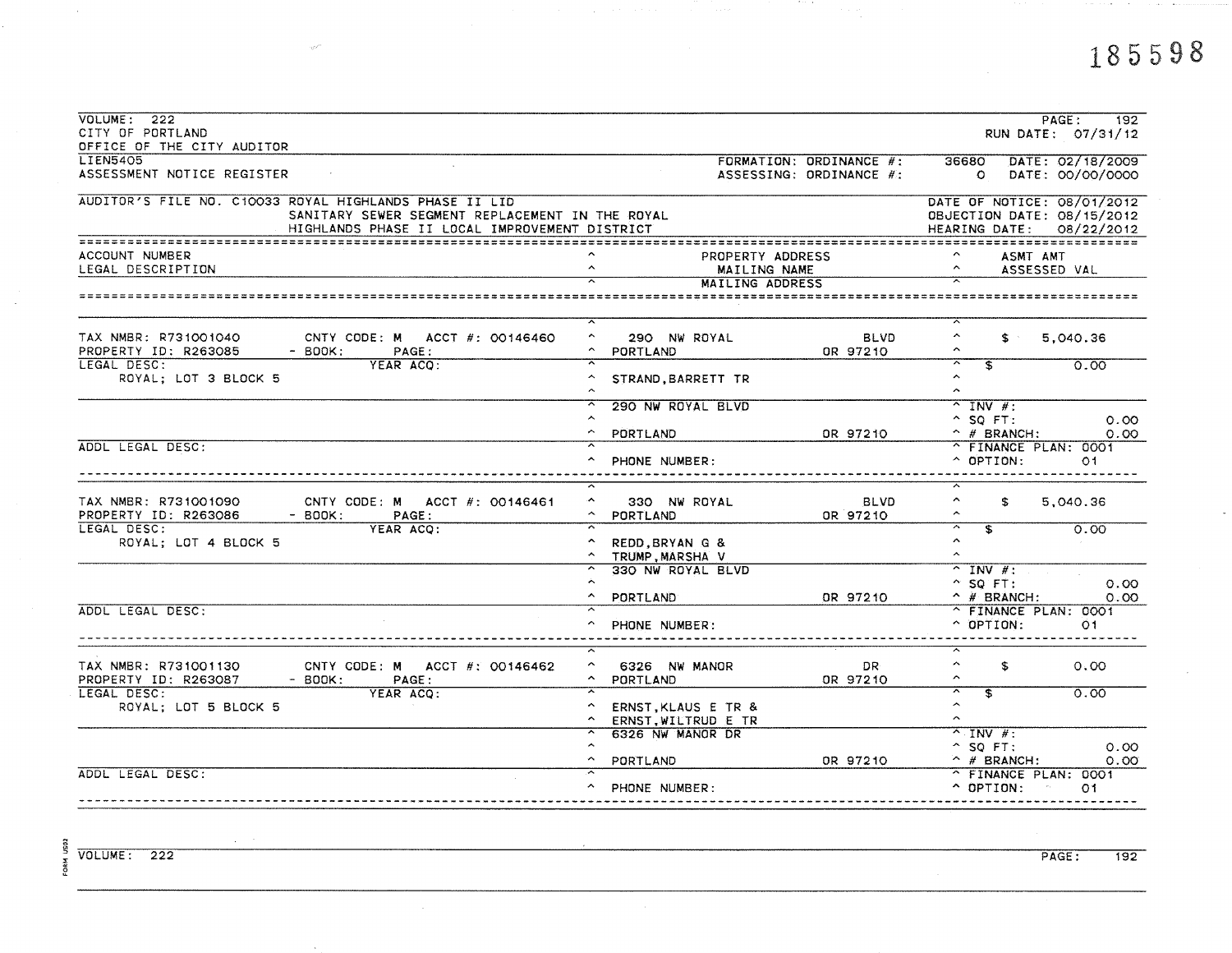man between the contract and com-

| VOLUTIONE: 222<br>CITY OF PORTLAND                                                                                                                         |                                      |                         |                                                                                      | PAGE:<br>192<br>RUN DATE: 07/31/12 |  |  |
|------------------------------------------------------------------------------------------------------------------------------------------------------------|--------------------------------------|-------------------------|--------------------------------------------------------------------------------------|------------------------------------|--|--|
| OFFICE OF THE CITY AUDITOR                                                                                                                                 |                                      |                         |                                                                                      |                                    |  |  |
| <b>LIEN5405</b>                                                                                                                                            |                                      | FORMATION: ORDINANCE #: | 36680                                                                                | DATE: 02/18/2009                   |  |  |
| ASSESSMENT NOTICE REGISTER                                                                                                                                 |                                      | ASSESSING: ORDINANCE #: | $\circ$                                                                              | DATE: 00/00/0000                   |  |  |
| AUDITOR'S FILE NO. C10033 ROYAL HIGHLANDS PHASE II LID<br>SANITARY SEWER SEGMENT REPLACEMENT IN THE ROYAL<br>HIGHLANDS PHASE II LOCAL IMPROVEMENT DISTRICT |                                      |                         | DATE OF NOTICE: 08/01/2012<br>OBJECTION DATE: 08/15/2012<br>HEARING DATE: 08/22/2012 |                                    |  |  |
|                                                                                                                                                            |                                      |                         |                                                                                      |                                    |  |  |
| ACCOUNT NUMBER                                                                                                                                             | PROPERTY ADDRESS                     |                         |                                                                                      | ASMT AMT                           |  |  |
| LEGAL DESCRIPTION                                                                                                                                          | $\hat{\phantom{a}}$<br>MAILING NAME  |                         | $\widehat{\phantom{a}}$                                                              | ASSESSED VAL                       |  |  |
|                                                                                                                                                            | MAILING ADDRESS                      |                         |                                                                                      |                                    |  |  |
|                                                                                                                                                            |                                      |                         |                                                                                      |                                    |  |  |
| TAX NMBR: R731001040<br>CNTY CODE: M ACCT #: 00146460                                                                                                      | $\hat{\phantom{a}}$<br>290 NW ROYAL  | <b>BLVD</b>             | $\hat{\phantom{a}}$<br>$\mathbf{s}$                                                  | 5,040.36                           |  |  |
| PROPERTY ID: R263085<br>$-$ BOOK:<br>PAGE:                                                                                                                 | PORTLAND                             | OR 97210                | $\hat{\phantom{a}}$                                                                  |                                    |  |  |
| LEGAL DESC:<br>YEAR ACO:<br>ROYAL; LOT 3 BLOCK 5                                                                                                           | STRAND, BARRETT TR                   |                         | $\overline{\widetilde{\ }}$<br>$\overline{\mathbf{s}}$<br>$\hat{\phantom{a}}$        | 0.00                               |  |  |
|                                                                                                                                                            |                                      |                         | $\hat{\phantom{a}}$                                                                  |                                    |  |  |
|                                                                                                                                                            | 290 NW ROYAL BLVD                    |                         | $^{\sim}$ INV #:                                                                     |                                    |  |  |
|                                                                                                                                                            |                                      |                         | $^{\circ}$ SQ FT:                                                                    | 0.00                               |  |  |
| ADDL LEGAL DESC:                                                                                                                                           | PORTLAND                             | OR 97210                | $\hat{p}$ # BRANCH:                                                                  | 0.00                               |  |  |
|                                                                                                                                                            | PHONE NUMBER:<br>$\hat{\phantom{a}}$ |                         | ^ FINANCE PLAN: 0001<br>$\sim$ OPTION:                                               | O1                                 |  |  |
|                                                                                                                                                            |                                      |                         |                                                                                      |                                    |  |  |
| TAX NMBR: R731001090<br>CNTY CODE: M ACCT $#$ : 00146461                                                                                                   | ۰<br>330 NW ROYAL                    | <b>BLVD</b>             | $\hat{\phantom{a}}$<br>\$                                                            | 5,040.36                           |  |  |
| PROPERTY ID: R263086<br>PAGE:<br>$-$ BOOK:                                                                                                                 | PORTLAND                             | OR 97210                | $\hat{\phantom{a}}$                                                                  |                                    |  |  |
| LEGAL DESC:<br>YEAR ACO:                                                                                                                                   |                                      |                         | $\overline{\widehat{\phantom{m}}\phantom{m}}$<br>s,                                  | 0.00                               |  |  |
| ROYAL; LOT 4 BLOCK 5                                                                                                                                       | REDD, BRYAN G &                      |                         | $\hat{\mathbf{v}}$                                                                   |                                    |  |  |
|                                                                                                                                                            | TRUMP.MARSHA V                       |                         | $\hat{\phantom{a}}$                                                                  |                                    |  |  |
|                                                                                                                                                            | 330 NW ROYAL BLVD                    |                         | $\overline{Y}$ INV #:                                                                |                                    |  |  |
|                                                                                                                                                            |                                      |                         | $^{\circ}$ SQ FT:                                                                    | 0.00                               |  |  |
|                                                                                                                                                            | PORTLAND                             | OR 97210                | $\land$ # BRANCH:                                                                    | 0.00                               |  |  |
| ADDL LEGAL DESC:                                                                                                                                           |                                      |                         | ^ FINANCE PLAN: 0001                                                                 |                                    |  |  |
|                                                                                                                                                            | PHONE NUMBER:                        |                         | $\hat{C}$ OPTION:                                                                    | O1.                                |  |  |
|                                                                                                                                                            |                                      |                         | ≂                                                                                    |                                    |  |  |
| TAX NMBR: R731001130<br>CNTY CODE: M ACCT $\#$ : 00146462                                                                                                  | 6326 NW MANOR                        | DR.                     | $\hat{\phantom{a}}$<br>\$                                                            | 0.00                               |  |  |
| PROPERTY ID: R263087<br>$-$ BOOK:<br>PAGE:                                                                                                                 | $\hat{\phantom{a}}$<br>PORTLAND      | OR 97210                | $\hat{\phantom{a}}$                                                                  |                                    |  |  |
| LEGAL DESC:<br>YEAR ACQ:                                                                                                                                   |                                      |                         | $\overline{ }$<br>$\overline{\mathbf{s}}$                                            | 0.00                               |  |  |
| ROYAL; LOT 5 BLOCK 5                                                                                                                                       | ERNST, KLAUS E TR &                  |                         | $\hat{\phantom{a}}$<br>$\hat{ }$                                                     |                                    |  |  |
|                                                                                                                                                            | ERNST. WILTRUD E TR                  |                         |                                                                                      |                                    |  |  |
|                                                                                                                                                            | 6326 NW MANOR DR                     |                         | $\overline{\wedge}$ INV #:                                                           |                                    |  |  |
|                                                                                                                                                            |                                      |                         | $^{\circ}$ SQ FT:                                                                    | 0.00                               |  |  |
| ADDL LEGAL DESC:                                                                                                                                           | PORTLAND                             | OR 97210                | $\wedge$ # BRANCH:<br>^ FINANCE PLAN: 0001                                           | 0.00                               |  |  |
|                                                                                                                                                            | PHONE NUMBER:                        |                         | $\sim$ OPTION:                                                                       | 01                                 |  |  |
|                                                                                                                                                            |                                      |                         |                                                                                      |                                    |  |  |

a tinata

 $\sim$   $\sim$   $\sim$ 

 $\overline{\text{VOLUME}}$ : 222

FORM US02

PAGE:  $\overline{192}$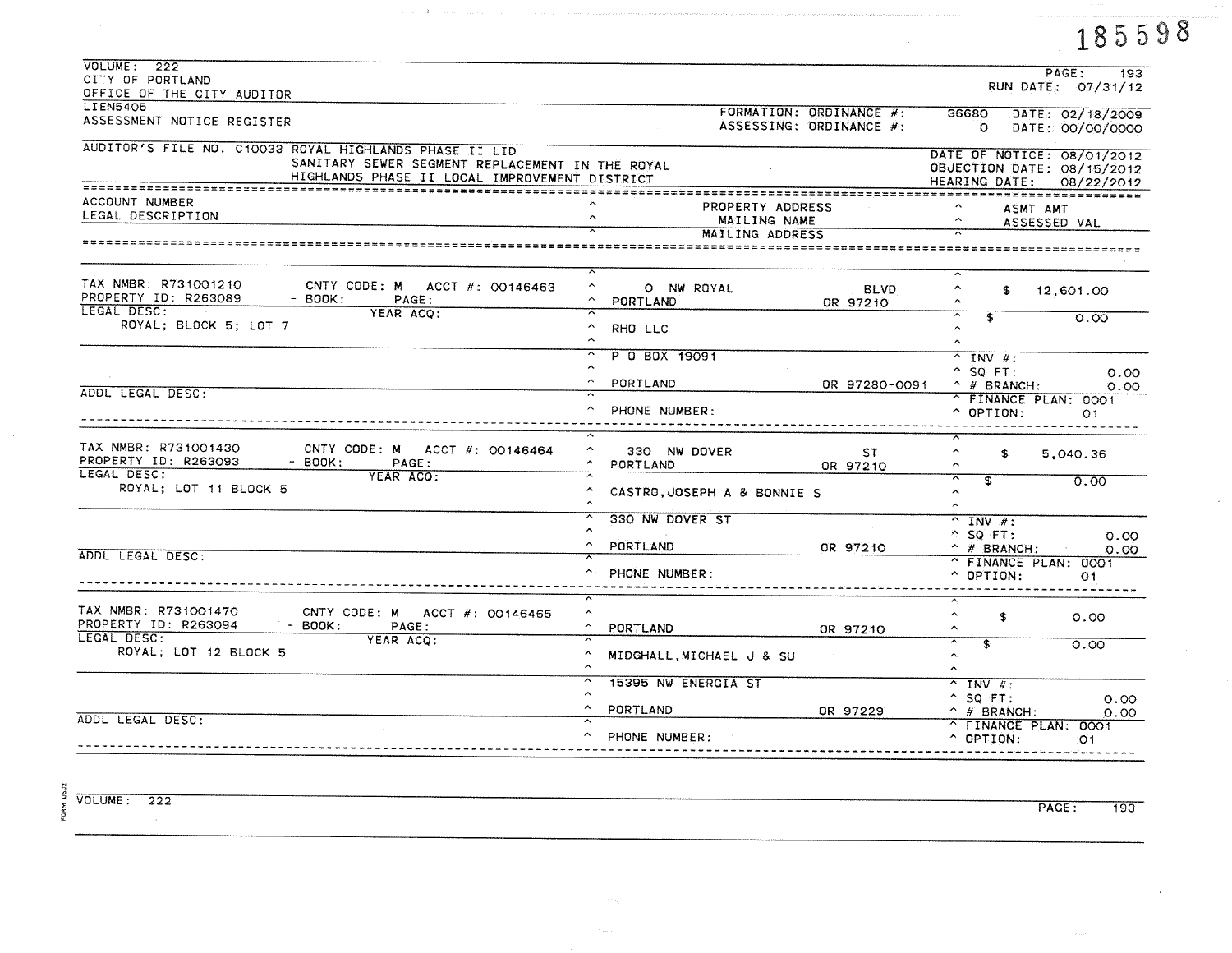|                                                                                                                                                            |                                                                 |                                                    |                                                                                      | 185598                               |
|------------------------------------------------------------------------------------------------------------------------------------------------------------|-----------------------------------------------------------------|----------------------------------------------------|--------------------------------------------------------------------------------------|--------------------------------------|
| VOLUME: 222<br>CITY OF PORTLAND                                                                                                                            |                                                                 |                                                    |                                                                                      | PAGE:<br>193<br>RUN DATE: 07/31/12   |
| OFFICE OF THE CITY AUDITOR<br><b>LIEN5405</b>                                                                                                              |                                                                 |                                                    |                                                                                      |                                      |
| ASSESSMENT NOTICE REGISTER                                                                                                                                 |                                                                 | FORMATION: ORDINANCE #:<br>ASSESSING: ORDINANCE #: | 36680<br>$\Omega$                                                                    | DATE: 02/18/2009<br>DATE: 00/00/0000 |
| AUDITOR'S FILE NO. C10033 ROYAL HIGHLANDS PHASE II LID<br>SANITARY SEWER SEGMENT REPLACEMENT IN THE ROYAL<br>HIGHLANDS PHASE II LOCAL IMPROVEMENT DISTRICT |                                                                 |                                                    | DATE OF NOTICE: 08/01/2012<br>OBJECTION DATE: 08/15/2012<br>HEARING DATE: 08/22/2012 |                                      |
| ACCOUNT NUMBER<br>LEGAL DESCRIPTION                                                                                                                        | PROPERTY ADDRESS<br>MAILING NAME                                |                                                    | ASMT AMT                                                                             | ASSESSED VAL                         |
|                                                                                                                                                            | <b>MAILING ADDRESS</b>                                          |                                                    |                                                                                      |                                      |
| TAX NMBR: R731001210<br>CNTY CODE: M ACCT $#$ : 00146463<br>PROPERTY ID: R263089<br>- BOOK:<br>PAGE:                                                       | $\hat{\phantom{a}}$<br>O NW ROYAL<br>$\sim$<br>PORTLAND         | <b>BLVD</b>                                        | $\hat{\phantom{a}}$<br>$\hat{\phantom{a}}$                                           | \$ 12,601.00                         |
| LEGAL DESC:<br>YEAR ACQ:<br>$\sim 100$ km s $^{-1}$ m s $^{-1}$<br>ROYAL; BLOCK 5; LOT 7                                                                   | ≂<br>$\hat{\phantom{a}}$<br>RHO LLC<br>$\hat{\phantom{a}}$      | OR 97210                                           | $\overline{\mathbf{s}}$<br>$\sim$<br>$\sim$                                          | 0.00                                 |
|                                                                                                                                                            | λ<br>P 0 B0X 19091<br>$\hat{\phantom{a}}$                       |                                                    | $^{\circ}$ INV #:<br>$^{\circ}$ SQ FT:                                               | 0.00                                 |
| ADDL LEGAL DESC:                                                                                                                                           | $\hat{ }$<br>PORTLAND<br>≂                                      | OR 97280-0091                                      | $\land$ # BRANCH:                                                                    | 0.00                                 |
|                                                                                                                                                            | $\hat{\phantom{a}}$<br>PHONE NUMBER:                            |                                                    | ^ FINANCE PLAN: 0001<br>$^{\circ}$ OPTION:                                           | O <sub>1</sub>                       |
| TAX NMBR: R731001430<br>CNTY CODE: M ACCT #: 00146464<br>PROPERTY ID: R263093<br>- BOOK:<br>PAGE:                                                          | $\hat{\phantom{a}}$<br>330 NW DOVER<br>$\sim$ $-$<br>PORTLAND   | ST.<br>OR 97210                                    | $\hat{\phantom{1}}$<br>\$<br>$\sim$                                                  | 5,040.36                             |
| LEGAL DESC:<br>YEAR ACO:<br>ROYAL; LOT 11 BLOCK 5                                                                                                          | $\sim$<br>CASTRO, JOSEPH A & BONNIE S<br>$\boldsymbol{\lambda}$ |                                                    | $\overline{\mathbf{s}}$<br>$\hat{\phantom{a}}$                                       | 0.00                                 |
|                                                                                                                                                            | ㅅ<br>330 NW DOVER ST<br>$\hat{~}$                               |                                                    | $^{\sim}$ INV #:<br>$\hat{C}$ SQ FT:                                                 | 0.00                                 |
| ADDL LEGAL DESC:                                                                                                                                           | $\sim$<br>PORTLAND<br>$\overline{\phantom{a}}$                  | OR 97210                                           | $\hat{p}$ # BRANCH:<br>^ FINANCE PLAN: 0001                                          | 0.00                                 |
|                                                                                                                                                            | PHONE NUMBER:<br>≂                                              |                                                    | $\hat{O}$ OPTION:                                                                    | O1                                   |
| TAX NMBR: R731001470<br>CNTY CODE: M ACCT $#$ : 00146465<br>$-$ BOOK:<br>PROPERTY ID: R263094<br>PAGE:                                                     | $\hat{\phantom{a}}$<br>$\hat{\phantom{a}}$<br>PORTLAND          | OR 97210                                           | $\hat{\phantom{a}}$<br>\$<br>$\hat{\phantom{a}}$                                     | 0.00                                 |
| LEGAL DESC:<br>YEAR ACQ:<br>ROYAL; LOT 12 BLOCK 5                                                                                                          | $\hat{\phantom{a}}$<br>MIDGHALL MICHAEL J & SU                  |                                                    | $\hat{\phantom{a}}$<br>$\overline{\mathbf{r}}$<br>$\mathbf{A}$<br>$\mathbf{v}$       | 0.00                                 |
|                                                                                                                                                            | 15395 NW ENERGIA ST                                             |                                                    | $\overline{\wedge}$ INV #:<br>$^{\circ}$ SQ FT:                                      | 0.00                                 |
| ADDL LEGAL DESC:                                                                                                                                           | $\sim$<br>PORTLAND                                              | OR 97229                                           | $\hat{H}$ BRANCH:<br>$A$ <b>ETMANOE</b> OLAM. COOL                                   | 0.00                                 |

^ PHONE NUMBER:

 $\sim$ 

 $\pi^-\to \Phi^-$ 

VOLUME: 222

 $\sim$ 

FORM US02

PAGE:  $\overline{193}$ 

 $-01$ 

^ FINANCE PLAN: 0001

 $^{\smallfrown}$  OPTION:

 $\cdot$